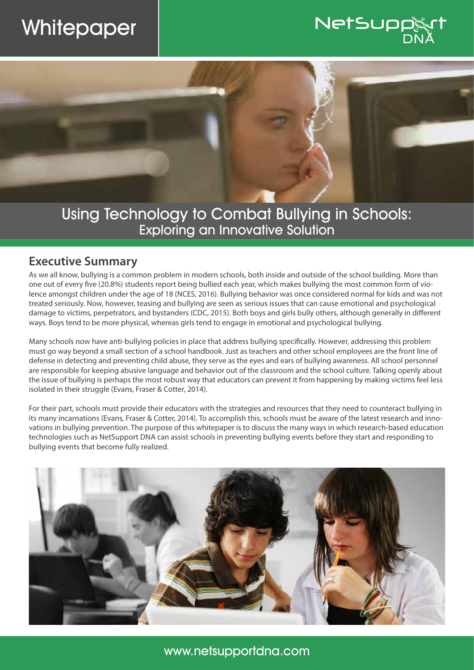# **Whitepaper**



Using Technology to Combat Bullying in Schools: Exploring an Innovative Solution

#### **Executive Summary**

As we all know, bullying is a common problem in modern schools, both inside and outside of the school building. More than one out of every five (20.8%) students report being bullied each year, which makes bullying the most common form of violence amongst children under the age of 18 (NCES, 2016). Bullying behavior was once considered normal for kids and was not treated seriously. Now, however, teasing and bullying are seen as serious issues that can cause emotional and psychological damage to victims, perpetrators, and bystanders (CDC, 2015). Both boys and girls bully others, although generally in different ways. Boys tend to be more physical, whereas girls tend to engage in emotional and psychological bullying.

Many schools now have anti-bullying policies in place that address bullying specifically. However, addressing this problem must go way beyond a small section of a school handbook. Just as teachers and other school employees are the front line of defense in detecting and preventing child abuse, they serve as the eyes and ears of bullying awareness. All school personnel are responsible for keeping abusive language and behavior out of the classroom and the school culture. Talking openly about the issue of bullying is perhaps the most robust way that educators can prevent it from happening by making victims feel less isolated in their struggle (Evans, Fraser & Cotter, 2014).

For their part, schools must provide their educators with the strategies and resources that they need to counteract bullying in its many incarnations (Evans, Fraser & Cotter, 2014). To accomplish this, schools must be aware of the latest research and innovations in bullying prevention. The purpose of this whitepaper is to discuss the many ways in which research-based education technologies such as NetSupport DNA can assist schools in preventing bullying events before they start and responding to bullying events that become fully realized.

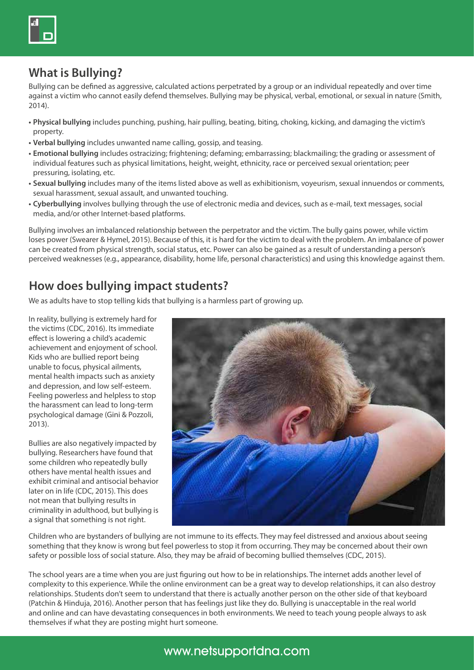

## **What is Bullying?**

Bullying can be defined as aggressive, calculated actions perpetrated by a group or an individual repeatedly and over time against a victim who cannot easily defend themselves. Bullying may be physical, verbal, emotional, or sexual in nature (Smith, 2014).

- **• Physical bullying** includes punching, pushing, hair pulling, beating, biting, choking, kicking, and damaging the victim's property.
- **• Verbal bullying** includes unwanted name calling, gossip, and teasing.
- **• Emotional bullying** includes ostracizing; frightening; defaming; embarrassing; blackmailing; the grading or assessment of individual features such as physical limitations, height, weight, ethnicity, race or perceived sexual orientation; peer pressuring, isolating, etc.
- **• Sexual bullying** includes many of the items listed above as well as exhibitionism, voyeurism, sexual innuendos or comments, sexual harassment, sexual assault, and unwanted touching.
- **• Cyberbullying** involves bullying through the use of electronic media and devices, such as e-mail, text messages, social media, and/or other Internet-based platforms.

Bullying involves an imbalanced relationship between the perpetrator and the victim. The bully gains power, while victim loses power (Swearer & Hymel, 2015). Because of this, it is hard for the victim to deal with the problem. An imbalance of power can be created from physical strength, social status, etc. Power can also be gained as a result of understanding a person's perceived weaknesses (e.g., appearance, disability, home life, personal characteristics) and using this knowledge against them.

#### **How does bullying impact students?**

We as adults have to stop telling kids that bullying is a harmless part of growing up.

In reality, bullying is extremely hard for the victims (CDC, 2016). Its immediate effect is lowering a child's academic achievement and enjoyment of school. Kids who are bullied report being unable to focus, physical ailments, mental health impacts such as anxiety and depression, and low self-esteem. Feeling powerless and helpless to stop the harassment can lead to long-term psychological damage (Gini & Pozzoli, 2013).

Bullies are also negatively impacted by bullying. Researchers have found that some children who repeatedly bully others have mental health issues and exhibit criminal and antisocial behavior later on in life (CDC, 2015). This does not mean that bullying results in criminality in adulthood, but bullying is a signal that something is not right.



Children who are bystanders of bullying are not immune to its effects. They may feel distressed and anxious about seeing something that they know is wrong but feel powerless to stop it from occurring. They may be concerned about their own safety or possible loss of social stature. Also, they may be afraid of becoming bullied themselves (CDC, 2015).

The school years are a time when you are just figuring out how to be in relationships. The internet adds another level of complexity to this experience. While the online environment can be a great way to develop relationships, it can also destroy relationships. Students don't seem to understand that there is actually another person on the other side of that keyboard (Patchin & Hinduja, 2016). Another person that has feelings just like they do. Bullying is unacceptable in the real world and online and can have devastating consequences in both environments. We need to teach young people always to ask themselves if what they are posting might hurt someone.

# www.netsupportdna.com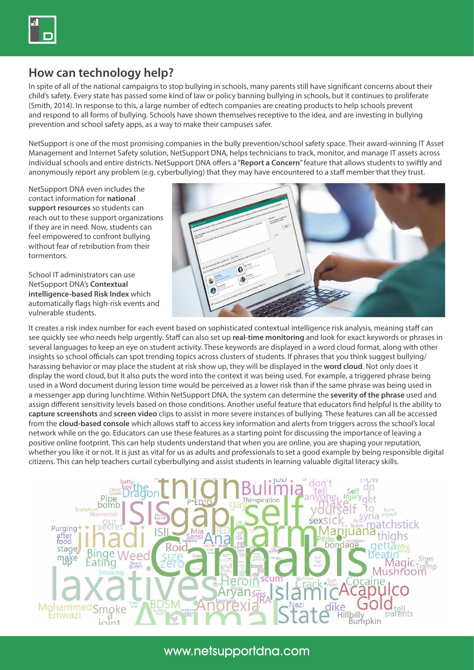

#### **How can technology help?**

In spite of all of the national campaigns to stop bullying in schools, many parents still have significant concerns about their child's safety. Every state has passed some kind of law or policy banning bullying in schools, but it continues to proliferate (Smith, 2014). In response to this, a large number of edtech companies are creating products to help schools prevent and respond to all forms of bullying. Schools have shown themselves receptive to the idea, and are investing in bullying prevention and school safety apps, as a way to make their campuses safer.

NetSupport is one of the most promising companies in the bully prevention/school safety space. Their award-winning IT Asset Management and Internet Safety solution, NetSupport DNA, helps technicians to track, monitor, and manage IT assets across individual schools and entire districts. NetSupport DNA offers a "**Report a Concern**" feature that allows students to swiftly and anonymously report any problem (e.g. cyberbullying) that they may have encountered to a staff member that they trust.

NetSupport DNA even includes the contact information for **national support resources** so students can reach out to these support organizations if they are in need. Now, students can feel empowered to confront bullying without fear of retribution from their tormentors.

School IT administrators can use NetSupport DNA's **Contextual intelligence-based Risk Index** which automatically flags high-risk events and vulnerable students.



It creates a risk index number for each event based on sophisticated contextual intelligence risk analysis, meaning staff can see quickly see who needs help urgently. Staff can also set up **real-time monitoring** and look for exact keywords or phrases in several languages to keep an eye on student activity. These keywords are displayed in a word cloud format, along with other insights so school officials can spot trending topics across clusters of students. If phrases that you think suggest bullying/ harassing behavior or may place the student at risk show up, they will be displayed in the **word cloud**. Not only does it display the word cloud, but it also puts the word into the context it was being used. For example, a triggered phrase being used in a Word document during lesson time would be perceived as a lower risk than if the same phrase was being used in a messenger app during lunchtime. Within NetSupport DNA, the system can determine the **severity of the phrase** used and assign different sensitivity levels based on those conditions. Another useful feature that educators find helpful is the ability to **capture screenshots** and **screen video** clips to assist in more severe instances of bullying. These features can all be accessed from the **cloud-based console** which allows staff to access key information and alerts from triggers across the school's local network while on the go. Educators can use these features as a starting point for discussing the importance of leaving a positive online footprint. This can help students understand that when you are online, you are shaping your reputation, whether you like it or not. It is just as vital for us as adults and professionals to set a good example by being responsible digital citizens. This can help teachers curtail cyberbullying and assist students in learning valuable digital literacy skills.